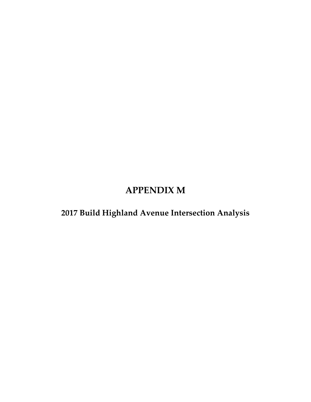# **APPENDIX M**

**2017 Build Highland Avenue Intersection Analysis**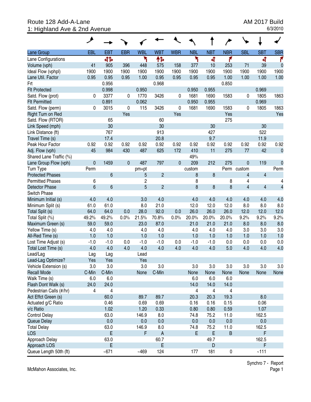## Route 128 Add-A-Lane <br>1: Highland Ave & 2nd Avenue AM 2017 Build<br>1: Highland Ave & 2nd Avenue 1: Highland Ave & 2nd Avenue

|                         | ۸              |                |             |                |                           |            |            |                         |                         |                         |                         |                |
|-------------------------|----------------|----------------|-------------|----------------|---------------------------|------------|------------|-------------------------|-------------------------|-------------------------|-------------------------|----------------|
| Lane Group              | EBL            | <b>EBT</b>     | <b>EBR</b>  | <b>WBL</b>     | <b>WBT</b>                | <b>WBR</b> | <b>NBL</b> | <b>NBT</b>              | <b>NBR</b>              | <b>SBL</b>              | <b>SBT</b>              | <b>SBR</b>     |
| Lane Configurations     |                | 41             |             | ۲              | ተኈ                        |            | ۲          | 4                       | ۴                       |                         | 4                       | ۴              |
| Volume (vph)            | 41             | 905            | 396         | 448            | 575                       | 158        | 377        | 10                      | 253                     | 71                      | 39                      | $\mathbf 0$    |
| Ideal Flow (vphpl)      | 1900           | 1900           | 1900        | 1900           | 1900                      | 1900       | 1900       | 1900                    | 1900                    | 1900                    | 1900                    | 1900           |
| Lane Util. Factor       | 0.95           | 0.95           | 0.95        | 1.00           | 0.95                      | 0.95       | 0.95       | 0.95                    | 1.00                    | 1.00                    | 1.00                    | 1.00           |
| Frt                     |                | 0.956          |             |                | 0.968                     |            |            |                         | 0.850                   |                         |                         |                |
| <b>Flt Protected</b>    |                | 0.998          |             | 0.950          |                           |            | 0.950      | 0.955                   |                         |                         | 0.969                   |                |
| Satd. Flow (prot)       | 0              | 3377           | 0           | 1770           | 3426                      | 0          | 1681       | 1690                    | 1583                    | 0                       | 1805                    | 1863           |
| <b>Flt Permitted</b>    |                | 0.891          |             | 0.062          |                           |            | 0.950      | 0.955                   |                         |                         | 0.969                   |                |
| Satd. Flow (perm)       | 0              | 3015           | 0           | 115            | 3426                      | 0          | 1681       | 1690                    | 1583                    | 0                       | 1805                    | 1863           |
| Right Turn on Red       |                |                | Yes         |                |                           | Yes        |            |                         | Yes                     |                         |                         | Yes            |
| Satd. Flow (RTOR)       |                | 65             |             |                | 60                        |            |            |                         | 275                     |                         |                         |                |
| Link Speed (mph)        |                | 30             |             |                | 30                        |            |            | 30                      |                         |                         | 30                      |                |
| Link Distance (ft)      |                | 767            |             |                | 913                       |            |            | 427                     |                         |                         | 522                     |                |
| Travel Time (s)         |                | 17.4           |             |                | 20.8                      |            |            | 9.7                     |                         |                         | 11.9                    |                |
| Peak Hour Factor        | 0.92           | 0.92           | 0.92        | 0.92           | 0.92                      | 0.92       | 0.92       | 0.92                    | 0.92                    | 0.92                    | 0.92                    | 0.92           |
| Adj. Flow (vph)         | 45             | 984            | 430         | 487            | 625                       | 172        | 410        | 11                      | 275                     | 77                      | 42                      | $\mathbf 0$    |
| Shared Lane Traffic (%) |                |                |             |                |                           |            | 49%        |                         |                         |                         |                         |                |
| Lane Group Flow (vph)   | $\mathbf 0$    | 1459           | $\mathbf 0$ | 487            | 797                       | $\pmb{0}$  | 209        | 212                     | 275                     | $\pmb{0}$               | 119                     | $\mathbf 0$    |
| Turn Type               | Perm           |                |             | pm+pt          |                           |            | custom     |                         | Perm                    | custom                  |                         | Perm           |
| <b>Protected Phases</b> |                | $6\phantom{1}$ |             | 5              | $\overline{c}$            |            | 8          | 8                       |                         | $\overline{\mathbf{4}}$ | $\overline{4}$          |                |
| <b>Permitted Phases</b> | 6              |                |             | $\overline{c}$ |                           |            | 8          |                         | 8                       | 4                       |                         | 4              |
| <b>Detector Phase</b>   | 6              | $6\phantom{a}$ |             | 5              | $\overline{2}$            |            | 8          | 8                       | $\boldsymbol{8}$        | $\overline{\mathbf{4}}$ | $\overline{\mathbf{4}}$ | $\overline{4}$ |
| Switch Phase            |                |                |             |                |                           |            |            |                         |                         |                         |                         |                |
| Minimum Initial (s)     | 4.0            | 4.0            |             | 3.0            | 4.0                       |            | 4.0        | 4.0                     | 4.0                     | 4.0                     | 4.0                     | 4.0            |
| Minimum Split (s)       | 61.0           | 61.0           |             | 8.0            | 21.0                      |            | 12.0       | 12.0                    | 12.0                    | 8.0                     | 8.0                     | 8.0            |
| Total Split (s)         | 64.0           | 64.0           | 0.0         | 28.0           | 92.0                      | 0.0        | 26.0       | 26.0                    | 26.0                    | 12.0                    | 12.0                    | 12.0           |
| Total Split (%)         | 49.2%          | 49.2%          | 0.0%        | 21.5%          | 70.8%                     | 0.0%       | 20.0%      | 20.0%                   | 20.0%                   | 9.2%                    | 9.2%                    | 9.2%           |
| Maximum Green (s)       | 59.0           | 59.0           |             | 23.0           | 87.0                      |            | 21.0       | 21.0                    | 21.0                    | 8.0                     | 8.0                     | 8.0            |
| Yellow Time (s)         | 4.0            | 4.0            |             | 4.0            | 4.0                       |            | 4.0        | 4.0                     | 4.0                     | 3.0                     | 3.0                     | 3.0            |
| All-Red Time (s)        | 1.0            | 1.0            |             | 1.0            | 1.0                       |            | 1.0        | 1.0                     | 1.0                     | 1.0                     | 1.0                     | 1.0            |
| Lost Time Adjust (s)    | $-1.0$         | $-1.0$         | 0.0         | $-1.0$         | $-1.0$                    | 0.0        | $-1.0$     | $-1.0$                  | 0.0                     | 0.0                     | 0.0                     | 0.0            |
| Total Lost Time (s)     | 4.0            | 4.0            | 4.0         | 4.0            | 4.0                       | 4.0        | 4.0        | 4.0                     | 5.0                     | 4.0                     | 4.0                     | 4.0            |
| Lead/Lag                | Lag            | Lag            |             | Lead           |                           |            |            |                         |                         |                         |                         |                |
| Lead-Lag Optimize?      | Yes            | Yes            |             | Yes            |                           |            |            |                         |                         |                         |                         |                |
| Vehicle Extension (s)   | 3.0            | 3.0            |             | 3.0            | 3.0                       |            | 3.0        | 3.0                     | 3.0                     | 3.0                     | 3.0                     | 3.0            |
| <b>Recall Mode</b>      | C-Min          | C-Min          |             | None           | C-Min                     |            | None       | None                    | None                    | None                    | None                    | None           |
| Walk Time (s)           | 6.0            | 6.0            |             |                |                           |            | 6.0        | 6.0                     | 6.0                     |                         |                         |                |
| Flash Dont Walk (s)     | 24.0           | 24.0           |             |                |                           |            | 14.0       | 14.0                    | 14.0                    |                         |                         |                |
| Pedestrian Calls (#/hr) | $\overline{4}$ | 4              |             |                |                           |            | 4          | $\overline{\mathbf{4}}$ | $\overline{\mathbf{4}}$ |                         |                         |                |
| Act Effct Green (s)     |                | 60.0           |             | 89.7           | 89.7                      |            | 20.3       | 20.3                    | 19.3                    |                         | 8.0                     |                |
| Actuated g/C Ratio      |                | 0.46           |             | 0.69           | 0.69                      |            | 0.16       | 0.16                    | 0.15                    |                         | 0.06                    |                |
| v/c Ratio               |                | 1.02           |             | 1.20           | 0.33                      |            | 0.80       | 0.80                    | 0.59                    |                         | 1.07                    |                |
| <b>Control Delay</b>    |                | 63.0           |             | 146.9          | 8.0                       |            | 74.8       | 75.2                    | 11.0                    |                         | 162.5                   |                |
| Queue Delay             |                | 0.0            |             | 0.0            | 0.0                       |            | 0.0        | 0.0                     | 0.0                     |                         | 0.0                     |                |
| <b>Total Delay</b>      |                | 63.0           |             | 146.9          | 8.0                       |            | 74.8       | 75.2                    | 11.0                    |                         | 162.5                   |                |
| <b>LOS</b>              |                | E              |             | F              | $\boldsymbol{\mathsf{A}}$ |            | E          | E                       | $\sf B$                 |                         | F                       |                |
| Approach Delay          |                | 63.0           |             |                | 60.7                      |            |            | 49.7                    |                         |                         | 162.5                   |                |
| Approach LOS            |                | E              |             |                | E                         |            |            | D                       |                         |                         | F                       |                |
| Queue Length 50th (ft)  |                | $-671$         |             | $-469$         | 124                       |            | 177        | 181                     | $\pmb{0}$               |                         | ~111                    |                |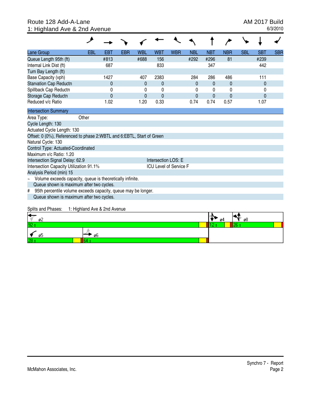## Route 128 Add-A-Lane <br>1: Highland Ave & 2nd Avenue AM 2017 Build<br>1: Highland Ave & 2nd Avenue 1: Highland Ave & 2nd Avenue

| Lane Group                                                                        | <b>EBL</b>                   | <b>EBT</b>     | <b>EBR</b> | <b>WBL</b>   | <b>WBT</b>          | <b>WBR</b>                    | <b>NBL</b>     | <b>NBT</b>   | <b>NBR</b>   | <b>SBL</b> | <b>SBT</b>   | <b>SBR</b> |
|-----------------------------------------------------------------------------------|------------------------------|----------------|------------|--------------|---------------------|-------------------------------|----------------|--------------|--------------|------------|--------------|------------|
| Queue Length 95th (ft)                                                            |                              | #813           |            | #688         | 156                 |                               | #292           | #296         | 81           |            | #239         |            |
| Internal Link Dist (ft)                                                           |                              | 687            |            |              | 833                 |                               |                | 347          |              |            | 442          |            |
| Turn Bay Length (ft)                                                              |                              |                |            |              |                     |                               |                |              |              |            |              |            |
| Base Capacity (vph)                                                               |                              | 1427           |            | 407          | 2383                |                               | 284            | 286          | 486          |            | 111          |            |
| <b>Starvation Cap Reductn</b>                                                     |                              | $\mathbf{0}$   |            | $\mathbf{0}$ | $\mathbf{0}$        |                               | $\overline{0}$ | 0            | 0            |            | $\mathbf{0}$ |            |
| Spillback Cap Reductn                                                             |                              | 0              |            | 0            | $\mathbf{0}$        |                               | 0              | 0            | 0            |            | 0            |            |
| Storage Cap Reductn                                                               |                              | $\overline{0}$ |            | $\mathbf{0}$ | $\overline{0}$      |                               | 0              | $\mathbf{0}$ | $\mathbf{0}$ |            | $\mathbf{0}$ |            |
| Reduced v/c Ratio                                                                 |                              | 1.02           |            | 1.20         | 0.33                |                               | 0.74           | 0.74         | 0.57         |            | 1.07         |            |
| <b>Intersection Summary</b>                                                       |                              |                |            |              |                     |                               |                |              |              |            |              |            |
| Area Type:                                                                        | Other                        |                |            |              |                     |                               |                |              |              |            |              |            |
| Cycle Length: 130                                                                 |                              |                |            |              |                     |                               |                |              |              |            |              |            |
| Actuated Cycle Length: 130                                                        |                              |                |            |              |                     |                               |                |              |              |            |              |            |
| Offset: 0 (0%), Referenced to phase 2:WBTL and 6:EBTL, Start of Green             |                              |                |            |              |                     |                               |                |              |              |            |              |            |
| Natural Cycle: 130                                                                |                              |                |            |              |                     |                               |                |              |              |            |              |            |
| Control Type: Actuated-Coordinated                                                |                              |                |            |              |                     |                               |                |              |              |            |              |            |
| Maximum v/c Ratio: 1.20                                                           |                              |                |            |              |                     |                               |                |              |              |            |              |            |
| Intersection Signal Delay: 62.9                                                   |                              |                |            |              | Intersection LOS: E |                               |                |              |              |            |              |            |
| Intersection Capacity Utilization 91.1%                                           |                              |                |            |              |                     | <b>ICU Level of Service F</b> |                |              |              |            |              |            |
| Analysis Period (min) 15                                                          |                              |                |            |              |                     |                               |                |              |              |            |              |            |
| Volume exceeds capacity, queue is theoretically infinite.<br>$\ddot{\phantom{1}}$ |                              |                |            |              |                     |                               |                |              |              |            |              |            |
| Queue shown is maximum after two cycles.                                          |                              |                |            |              |                     |                               |                |              |              |            |              |            |
| 95th percentile volume exceeds capacity, queue may be longer.<br>#                |                              |                |            |              |                     |                               |                |              |              |            |              |            |
| Queue shown is maximum after two cycles.                                          |                              |                |            |              |                     |                               |                |              |              |            |              |            |
| Splits and Phases:                                                                | 1: Highland Ave & 2nd Avenue |                |            |              |                     |                               |                |              |              |            |              |            |
|                                                                                   |                              |                |            |              |                     |                               |                |              |              |            |              |            |
| ø2                                                                                |                              |                |            |              |                     |                               |                | 16           | ø4           | ø8         |              |            |
|                                                                                   |                              |                |            |              |                     |                               |                |              |              | 26 s       |              |            |
| ø5                                                                                | ø6                           |                |            |              |                     |                               |                |              |              |            |              |            |
|                                                                                   | 64 s                         |                |            |              |                     |                               |                |              |              |            |              |            |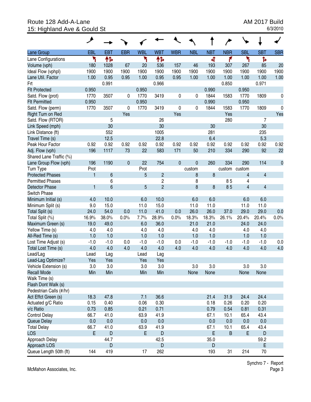## Route 128 Add-A-Lane <br>15: Highland Ave & Gould St 6/3/2010 15: Highland Ave & Gould St

|                                      | عر           |                 |             |            |                         |             |             |            |            |                |                         |             |
|--------------------------------------|--------------|-----------------|-------------|------------|-------------------------|-------------|-------------|------------|------------|----------------|-------------------------|-------------|
| Lane Group                           | EBL          | <b>EBT</b>      | <b>EBR</b>  | <b>WBL</b> | <b>WBT</b>              | <b>WBR</b>  | <b>NBL</b>  | <b>NBT</b> | <b>NBR</b> | <b>SBL</b>     | <b>SBT</b>              | <b>SBR</b>  |
| Lane Configurations                  | ٦            | 怍               |             | ۲          | ተኈ                      |             |             | 4          | ۴          | ۲              | Ъ                       |             |
| Volume (vph)                         | 180          | 1028            | 67          | 20         | 536                     | 157         | 46          | 193        | 307        | 267            | 85                      | 20          |
| Ideal Flow (vphpl)                   | 1900         | 1900            | 1900        | 1900       | 1900                    | 1900        | 1900        | 1900       | 1900       | 1900           | 1900                    | 1900        |
| Lane Util. Factor                    | 1.00         | 0.95            | 0.95        | 1.00       | 0.95                    | 0.95        | 1.00        | 1.00       | 1.00       | 1.00           | 1.00                    | 1.00        |
| Frt                                  |              | 0.991           |             |            | 0.966                   |             |             |            | 0.850      |                | 0.971                   |             |
| <b>Flt Protected</b>                 | 0.950        |                 |             | 0.950      |                         |             |             | 0.990      |            | 0.950          |                         |             |
| Satd. Flow (prot)                    | 1770         | 3507            | 0           | 1770       | 3419                    | 0           | 0           | 1844       | 1583       | 1770           | 1809                    | 0           |
| <b>Flt Permitted</b>                 | 0.950        |                 |             | 0.950      |                         |             |             | 0.990      |            | 0.950          |                         |             |
| Satd. Flow (perm)                    | 1770         | 3507            | 0           | 1770       | 3419                    | 0           | 0           | 1844       | 1583       | 1770           | 1809                    | 0           |
| Right Turn on Red                    |              |                 | Yes         |            |                         | Yes         |             |            | Yes        |                |                         | Yes         |
| Satd. Flow (RTOR)                    |              | 5               |             |            | 26                      |             |             |            | 280        |                | 7                       |             |
| Link Speed (mph)                     |              | 30              |             |            | 30                      |             |             | 30         |            |                | 30                      |             |
| Link Distance (ft)                   |              | 552             |             |            | 1005                    |             |             | 281        |            |                | 235                     |             |
| Travel Time (s)                      |              | 12.5            |             |            | 22.8                    |             |             | 6.4        |            |                | 5.3                     |             |
| Peak Hour Factor                     | 0.92         | 0.92            | 0.92        | 0.92       | 0.92                    | 0.92        | 0.92        | 0.92       | 0.92       | 0.92           | 0.92                    | 0.92        |
| Adj. Flow (vph)                      | 196          | 1117            | 73          | 22         | 583                     | 171         | 50          | 210        | 334        | 290            | 92                      | 22          |
| Shared Lane Traffic (%)              |              |                 |             |            |                         |             |             |            |            |                |                         |             |
| Lane Group Flow (vph)                | 196          | 1190            | $\mathbf 0$ | 22         | 754                     | $\mathbf 0$ | $\mathbf 0$ | 260        | 334        | 290            | 114                     | $\mathbf 0$ |
| Turn Type                            | Prot         |                 |             | Prot       |                         |             | custom      |            | custom     | custom         |                         |             |
| <b>Protected Phases</b>              | $\mathbf{1}$ | $6\phantom{1}6$ |             | 5          | $\overline{c}$          |             | 8           | 8          |            | 4              | 4                       |             |
| <b>Permitted Phases</b>              |              | 6               |             |            | $\overline{\mathbf{c}}$ |             | 8           |            | 85         | 4              |                         |             |
| <b>Detector Phase</b>                | $\mathbf{1}$ | 6               |             | 5          | $\overline{2}$          |             | 8           | 8          | 85         | $\overline{4}$ | $\overline{\mathbf{4}}$ |             |
| Switch Phase                         |              |                 |             |            |                         |             |             |            |            |                |                         |             |
| Minimum Initial (s)                  | 4.0          | 10.0            |             | 6.0        | 10.0                    |             | 6.0         | 6.0        |            | 6.0            | 6.0                     |             |
| Minimum Split (s)                    | 9.0          | 15.0            |             | 11.0       | 15.0                    |             | 11.0        | 11.0       |            | 11.0           | 11.0                    |             |
| Total Split (s)                      | 24.0         | 54.0            | 0.0         | 11.0       | 41.0                    | 0.0         | 26.0        | 26.0       | 37.0       | 29.0           | 29.0                    | 0.0         |
| Total Split (%)                      | 16.9%        | 38.0%           | 0.0%        | 7.7%       | 28.9%                   | 0.0%        | 18.3%       | 18.3%      | 26.1%      | 20.4%          | 20.4%                   | 0.0%        |
| Maximum Green (s)                    | 19.0         | 49.0            |             | 6.0        | 36.0                    |             | 21.0        | 21.0       |            | 24.0           | 24.0                    |             |
| Yellow Time (s)                      | 4.0          | 4.0             |             | 4.0        | 4.0                     |             | 4.0         | 4.0        |            | 4.0            | 4.0                     |             |
| All-Red Time (s)                     | 1.0          | 1.0             |             | 1.0        | 1.0                     |             | 1.0         | 1.0        |            | 1.0            | 1.0                     |             |
| Lost Time Adjust (s)                 | $-1.0$       | $-1.0$          | 0.0         | $-1.0$     | $-1.0$                  | 0.0         | $-1.0$      | $-1.0$     | $-1.0$     | $-1.0$         | $-1.0$                  | 0.0         |
| Total Lost Time (s)                  | 4.0          | 4.0             | 4.0         | 4.0        | 4.0                     | 4.0         | 4.0         | 4.0        | 4.0        | 4.0            | 4.0                     | 4.0         |
| Lead/Lag                             | Lead         | Lag             |             | Lead       | Lag                     |             |             |            |            |                |                         |             |
| Lead-Lag Optimize?                   | Yes          | Yes             |             | Yes        | Yes                     |             |             |            |            |                |                         |             |
| Vehicle Extension (s)                | 3.0          | 3.0             |             | 3.0        | 3.0                     |             | 3.0         | 3.0        |            | 3.0            | 3.0                     |             |
| <b>Recall Mode</b>                   | Min          | Min             |             | Min        | Min                     |             | None        | None       |            | None           | None                    |             |
| Walk Time (s)<br>Flash Dont Walk (s) |              |                 |             |            |                         |             |             |            |            |                |                         |             |
| Pedestrian Calls (#/hr)              |              |                 |             |            |                         |             |             |            |            |                |                         |             |
| Act Effct Green (s)                  | 18.3         | 47.8            |             | 7.1        | 36.6                    |             |             | 21.4       | 31.9       | 24.4           | 24.4                    |             |
| Actuated g/C Ratio                   | 0.15         | 0.40            |             | 0.06       | 0.30                    |             |             | 0.18       | 0.26       | 0.20           | 0.20                    |             |
| v/c Ratio                            | 0.73         | 0.85            |             | 0.21       | 0.71                    |             |             | 0.79       | 0.54       | 0.81           | 0.31                    |             |
| <b>Control Delay</b>                 | 66.7         | 41.0            |             | 63.9       | 41.9                    |             |             | 67.1       | 10.1       | 65.4           | 43.4                    |             |
| Queue Delay                          | 0.0          | 0.0             |             | 0.0        | 0.0                     |             |             | 0.0        | 0.0        | 0.0            | 0.0                     |             |
| <b>Total Delay</b>                   | 66.7         | 41.0            |             | 63.9       | 41.9                    |             |             | 67.1       | 10.1       | 65.4           | 43.4                    |             |
| <b>LOS</b>                           | E            | $\mathsf D$     |             | E          | $\mathsf D$             |             |             | E          | B          | E              | D                       |             |
| Approach Delay                       |              | 44.7            |             |            | 42.5                    |             |             | 35.0       |            |                | 59.2                    |             |
| Approach LOS                         |              | D               |             |            | D                       |             |             | D          |            |                | E                       |             |
| Queue Length 50th (ft)               | 144          | 419             |             | 17         | 262                     |             |             | 193        | 31         | 214            | 70                      |             |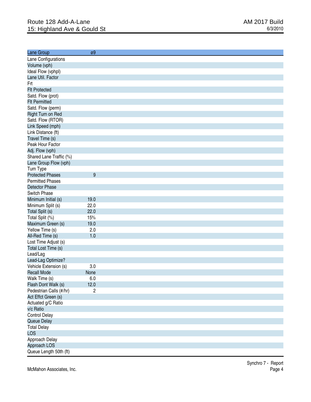| Lane Group              | ø9             |
|-------------------------|----------------|
| Lane Configurations     |                |
| Volume (vph)            |                |
| Ideal Flow (vphpl)      |                |
| Lane Util. Factor       |                |
| Frt                     |                |
| <b>Flt Protected</b>    |                |
| Satd. Flow (prot)       |                |
| <b>Flt Permitted</b>    |                |
| Satd. Flow (perm)       |                |
| Right Turn on Red       |                |
|                         |                |
| Satd. Flow (RTOR)       |                |
| Link Speed (mph)        |                |
| Link Distance (ft)      |                |
| Travel Time (s)         |                |
| Peak Hour Factor        |                |
| Adj. Flow (vph)         |                |
| Shared Lane Traffic (%) |                |
| Lane Group Flow (vph)   |                |
| Turn Type               |                |
| <b>Protected Phases</b> | 9              |
| <b>Permitted Phases</b> |                |
| <b>Detector Phase</b>   |                |
| Switch Phase            |                |
| Minimum Initial (s)     | 19.0           |
| Minimum Split (s)       | 22.0           |
| Total Split (s)         | 22.0           |
| Total Split (%)         | 15%            |
| Maximum Green (s)       | 19.0           |
| Yellow Time (s)         | 2.0            |
| All-Red Time (s)        | 1.0            |
| Lost Time Adjust (s)    |                |
| Total Lost Time (s)     |                |
| Lead/Lag                |                |
| Lead-Lag Optimize?      |                |
| Vehicle Extension (s)   | 3.0            |
| <b>Recall Mode</b>      | None           |
| Walk Time (s)           | 6.0            |
| Flash Dont Walk (s)     | 12.0           |
| Pedestrian Calls (#/hr) | $\overline{c}$ |
| Act Effct Green (s)     |                |
| Actuated g/C Ratio      |                |
| v/c Ratio               |                |
| <b>Control Delay</b>    |                |
|                         |                |
| Queue Delay             |                |
| <b>Total Delay</b>      |                |
| <b>LOS</b>              |                |
| Approach Delay          |                |
| Approach LOS            |                |
| Queue Length 50th (ft)  |                |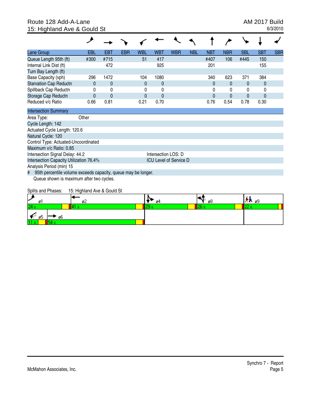#### Route 128 Add-A-Lane **AM 2017 Build** 15: Highland Ave & Gould St 6/3/2010

| Lane Group                                                         | EBL          | EBT          | <b>EBR</b> | WBL  | WBT                           | <b>WBR</b> | <b>NBL</b> | NBT  | <b>NBR</b>   | <b>SBL</b> | <b>SBT</b> | <b>SBR</b> |
|--------------------------------------------------------------------|--------------|--------------|------------|------|-------------------------------|------------|------------|------|--------------|------------|------------|------------|
| Queue Length 95th (ft)                                             | #300         | #715         |            | 51   | 417                           |            |            | #407 | 106          | #445       | 150        |            |
| Internal Link Dist (ft)                                            |              | 472          |            |      | 925                           |            |            | 201  |              |            | 155        |            |
| Turn Bay Length (ft)                                               |              |              |            |      |                               |            |            |      |              |            |            |            |
| Base Capacity (vph)                                                | 296          | 1472         |            | 104  | 1080                          |            |            | 340  | 623          | 371        | 384        |            |
| <b>Starvation Cap Reductn</b>                                      | $\mathbf{0}$ | $\mathbf{0}$ |            | 0    | 0                             |            |            | 0    | 0            | 0          | 0          |            |
| Spillback Cap Reductn                                              | 0            | 0            |            | 0    | 0                             |            |            | 0    | 0            | 0          | 0          |            |
| Storage Cap Reductn                                                | $\Omega$     | $\mathbf 0$  |            | 0    | $\mathbf{0}$                  |            |            | 0    | $\mathbf{0}$ | 0          | $\Omega$   |            |
| Reduced v/c Ratio                                                  | 0.66         | 0.81         |            | 0.21 | 0.70                          |            |            | 0.76 | 0.54         | 0.78       | 0.30       |            |
| <b>Intersection Summary</b>                                        |              |              |            |      |                               |            |            |      |              |            |            |            |
| Area Type:                                                         | Other        |              |            |      |                               |            |            |      |              |            |            |            |
| Cycle Length: 142                                                  |              |              |            |      |                               |            |            |      |              |            |            |            |
| Actuated Cycle Length: 120.6                                       |              |              |            |      |                               |            |            |      |              |            |            |            |
| Natural Cycle: 120                                                 |              |              |            |      |                               |            |            |      |              |            |            |            |
| Control Type: Actuated-Uncoordinated                               |              |              |            |      |                               |            |            |      |              |            |            |            |
| Maximum v/c Ratio: 0.85                                            |              |              |            |      |                               |            |            |      |              |            |            |            |
| Intersection Signal Delay: 44.2                                    |              |              |            |      | Intersection LOS: D           |            |            |      |              |            |            |            |
| Intersection Capacity Utilization 76.4%                            |              |              |            |      | <b>ICU Level of Service D</b> |            |            |      |              |            |            |            |
| Analysis Period (min) 15                                           |              |              |            |      |                               |            |            |      |              |            |            |            |
| 95th percentile volume exceeds capacity, queue may be longer.<br># |              |              |            |      |                               |            |            |      |              |            |            |            |
| Queue shown is maximum after two cycles.                           |              |              |            |      |                               |            |            |      |              |            |            |            |
| $\sim$ $\cdots$<br>$\overline{\phantom{a}}$                        |              |              |            |      |                               |            |            |      |              |            |            |            |

Splits and Phases: 15: Highland Ave & Gould St

| v<br>ø                | øZ | ø4 | ø8 | 175.09 |
|-----------------------|----|----|----|--------|
| <b>Service</b><br>æ   |    |    |    |        |
| ø5<br>c.<br>øb<br>. . |    |    |    |        |
| 11                    |    |    |    |        |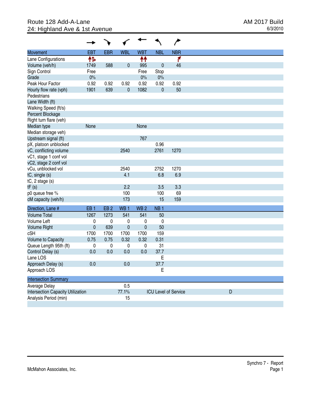## Route 128 Add-A-Lane <br>
24: Highland Ave & 1st Avenue **AM 2017 Build**<br>
24: Highland Ave & 1st Avenue **AM 2017** 24: Highland Ave & 1st Avenue

|                                          |                 |                 |                 |                 |                 | ∕                           |
|------------------------------------------|-----------------|-----------------|-----------------|-----------------|-----------------|-----------------------------|
| <b>Movement</b>                          | <b>EBT</b>      | <b>EBR</b>      | <b>WBL</b>      | <b>WBT</b>      | <b>NBL</b>      | <b>NBR</b>                  |
| Lane Configurations                      | 怍               |                 |                 | ቶቶ              |                 | ۴                           |
| Volume (veh/h)                           | 1749            | 588             | $\mathbf 0$     | 995             | $\mathbf 0$     | 46                          |
| Sign Control                             | Free            |                 |                 | Free            | Stop            |                             |
| Grade                                    | $0\%$           |                 |                 | 0%              | 0%              |                             |
| Peak Hour Factor                         | 0.92            | 0.92            | 0.92            | 0.92            | 0.92            | 0.92                        |
| Hourly flow rate (vph)                   | 1901            | 639             | 0               | 1082            | $\mathbf 0$     | 50                          |
| Pedestrians                              |                 |                 |                 |                 |                 |                             |
| Lane Width (ft)                          |                 |                 |                 |                 |                 |                             |
| Walking Speed (ft/s)                     |                 |                 |                 |                 |                 |                             |
| Percent Blockage                         |                 |                 |                 |                 |                 |                             |
| Right turn flare (veh)                   |                 |                 |                 |                 |                 |                             |
| Median type                              | None            |                 |                 | None            |                 |                             |
| Median storage veh)                      |                 |                 |                 |                 |                 |                             |
| Upstream signal (ft)                     |                 |                 |                 | 767             |                 |                             |
| pX, platoon unblocked                    |                 |                 |                 |                 | 0.96            |                             |
| vC, conflicting volume                   |                 |                 | 2540            |                 | 2761            | 1270                        |
| vC1, stage 1 conf vol                    |                 |                 |                 |                 |                 |                             |
| vC2, stage 2 conf vol                    |                 |                 |                 |                 |                 |                             |
| vCu, unblocked vol                       |                 |                 | 2540            |                 | 2752            | 1270                        |
| tC, single (s)                           |                 |                 | 4.1             |                 | 6.8             | 6.9                         |
| $tC$ , 2 stage (s)                       |                 |                 |                 |                 |                 |                             |
| tF(s)                                    |                 |                 | 2.2             |                 | 3.5             | 3.3                         |
| p0 queue free %                          |                 |                 | 100             |                 | 100             | 69                          |
| cM capacity (veh/h)                      |                 |                 | 173             |                 | 15              | 159                         |
|                                          |                 |                 |                 | WB <sub>2</sub> |                 |                             |
| Direction, Lane #                        | EB <sub>1</sub> | EB <sub>2</sub> | WB <sub>1</sub> |                 | NB <sub>1</sub> |                             |
| <b>Volume Total</b>                      | 1267            | 1273            | 541             | 541             | 50              |                             |
| Volume Left                              | 0               | 0               | 0               | 0               | $\pmb{0}$       |                             |
| <b>Volume Right</b>                      | $\mathbf 0$     | 639             | $\overline{0}$  | $\mathbf 0$     | 50              |                             |
| cSH                                      | 1700            | 1700            | 1700            | 1700            | 159             |                             |
| Volume to Capacity                       | 0.75            | 0.75            | 0.32            | 0.32            | 0.31            |                             |
| Queue Length 95th (ft)                   | $\pmb{0}$       | 0               | $\pmb{0}$       | 0               | 31              |                             |
| Control Delay (s)                        | 0.0             | 0.0             | 0.0             | 0.0             | 37.7            |                             |
| Lane LOS                                 |                 |                 |                 |                 | E               |                             |
| Approach Delay (s)                       | 0.0             |                 | 0.0             |                 | 37.7            |                             |
| Approach LOS                             |                 |                 |                 |                 | E               |                             |
| <b>Intersection Summary</b>              |                 |                 |                 |                 |                 |                             |
| Average Delay                            |                 |                 | 0.5             |                 |                 |                             |
| <b>Intersection Capacity Utilization</b> |                 |                 | 77.1%           |                 |                 | <b>ICU Level of Service</b> |
| Analysis Period (min)                    |                 |                 | 15              |                 |                 |                             |
|                                          |                 |                 |                 |                 |                 |                             |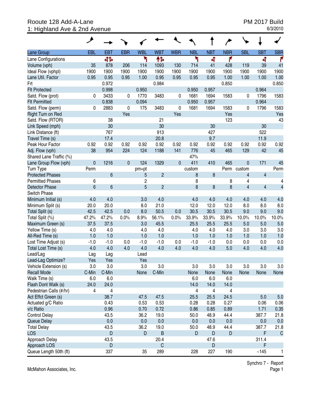## Rooute 128 Add-A-Lane **PM 2017 Build**<br>1: Highland Ave & 2nd Avenue **PM 2017 Build** 1: Highland Ave & 2nd Avenue

|                         | ◢               |                |              |                |                |             |            |            |            |                |                |                |
|-------------------------|-----------------|----------------|--------------|----------------|----------------|-------------|------------|------------|------------|----------------|----------------|----------------|
| Lane Group              | EBL             | <b>EBT</b>     | <b>EBR</b>   | <b>WBL</b>     | <b>WBT</b>     | <b>WBR</b>  | <b>NBL</b> | <b>NBT</b> | <b>NBR</b> | <b>SBL</b>     | <b>SBT</b>     | <b>SBR</b>     |
| Lane Configurations     |                 | 41             |              | ۲              | ተኈ             |             | ۲          | ची         | ۴          |                | ची             | ۴              |
| Volume (vph)            | 35              | 878            | 206          | 114            | 1093           | 130         | 714        | 41         | 428        | 119            | 39             | 41             |
| Ideal Flow (vphpl)      | 1900            | 1900           | 1900         | 1900           | 1900           | 1900        | 1900       | 1900       | 1900       | 1900           | 1900           | 1900           |
| Lane Util. Factor       | 0.95            | 0.95           | 0.95         | 1.00           | 0.95           | 0.95        | 0.95       | 0.95       | 1.00       | 1.00           | 1.00           | 1.00           |
| Frt                     |                 | 0.972          |              |                | 0.984          |             |            |            | 0.850      |                |                | 0.850          |
| <b>Flt Protected</b>    |                 | 0.998          |              | 0.950          |                |             | 0.950      | 0.957      |            |                | 0.964          |                |
| Satd. Flow (prot)       | 0               | 3433           | 0            | 1770           | 3483           | 0           | 1681       | 1694       | 1583       | 0              | 1796           | 1583           |
| <b>Flt Permitted</b>    |                 | 0.838          |              | 0.094          |                |             | 0.950      | 0.957      |            |                | 0.964          |                |
| Satd. Flow (perm)       | 0               | 2883           | 0            | 175            | 3483           | 0           | 1681       | 1694       | 1583       | 0              | 1796           | 1583           |
| Right Turn on Red       |                 |                | Yes          |                |                | Yes         |            |            | Yes        |                |                | Yes            |
| Satd. Flow (RTOR)       |                 | 38             |              |                | 21             |             |            |            | 123        |                |                | 43             |
| Link Speed (mph)        |                 | 30             |              |                | 30             |             |            | 30         |            |                | 30             |                |
| Link Distance (ft)      |                 | 767            |              |                | 913            |             |            | 427        |            |                | 522            |                |
| Travel Time (s)         |                 | 17.4           |              |                | 20.8           |             |            | 9.7        |            |                | 11.9           |                |
| Peak Hour Factor        | 0.92            | 0.92           | 0.92         | 0.92           | 0.92           | 0.92        | 0.92       | 0.92       | 0.92       | 0.92           | 0.92           | 0.92           |
| Adj. Flow (vph)         | 38              | 954            | 224          | 124            | 1188           | 141         | 776        | 45         | 465        | 129            | 42             | 45             |
| Shared Lane Traffic (%) |                 |                |              |                |                |             | 47%        |            |            |                |                |                |
| Lane Group Flow (vph)   | $\mathbf 0$     | 1216           | $\mathbf{0}$ | 124            | 1329           | $\mathbf 0$ | 411        | 410        | 465        | $\mathbf 0$    | 171            | 45             |
| Turn Type               | Perm            |                |              | pm+pt          |                |             | custom     |            |            | Perm custom    |                | Perm           |
| <b>Protected Phases</b> |                 | 6              |              | 5              | $\overline{2}$ |             | 8          | 8          |            | 4              | 4              |                |
| <b>Permitted Phases</b> | 6               |                |              | $\overline{c}$ |                |             | 8          |            | 8          | 4              |                | 4              |
| <b>Detector Phase</b>   | $6\overline{6}$ | 6              |              | 5              | $\overline{2}$ |             | 8          | 8          | 8          | $\overline{4}$ | $\overline{4}$ | $\overline{4}$ |
| Switch Phase            |                 |                |              |                |                |             |            |            |            |                |                |                |
| Minimum Initial (s)     | 4.0             | 4.0            |              | 3.0            | 4.0            |             | 4.0        | 4.0        | 4.0        | 4.0            | 4.0            | 4.0            |
| Minimum Split (s)       | 20.0            | 20.0           |              | 8.0            | 21.0           |             | 12.0       | 12.0       | 12.0       | 8.0            | 8.0            | 8.0            |
| Total Split (s)         | 42.5            | 42.5           | 0.0          | 8.0            | 50.5           | 0.0         | 30.5       | 30.5       | 30.5       | 9.0            | 9.0            | 9.0            |
| Total Split (%)         | 47.2%           | 47.2%          | 0.0%         | 8.9%           | 56.1%          | 0.0%        | 33.9%      | 33.9%      | 33.9%      | 10.0%          | 10.0%          | 10.0%          |
| Maximum Green (s)       | 37.5            | 37.5           |              | 3.0            | 45.5           |             | 25.5       | 25.5       | 25.5       | 5.0            | 5.0            | 5.0            |
| Yellow Time (s)         | 4.0             | 4.0            |              | 4.0            | 4.0            |             | 4.0        | 4.0        | 4.0        | 3.0            | 3.0            | 3.0            |
| All-Red Time (s)        | 1.0             | 1.0            |              | 1.0            | 1.0            |             | 1.0        | 1.0        | 1.0        | 1.0            | 1.0            | 1.0            |
| Lost Time Adjust (s)    | $-1.0$          | $-1.0$         | 0.0          | $-1.0$         | $-1.0$         | 0.0         | $-1.0$     | $-1.0$     | 0.0        | 0.0            | 0.0            | 0.0            |
| Total Lost Time (s)     | 4.0             | 4.0            | 4.0          | 4.0            | 4.0            | 4.0         | 4.0        | 4.0        | 5.0        | 4.0            | 4.0            | 4.0            |
| Lead/Lag                | Lag             | Lag            |              | Lead           |                |             |            |            |            |                |                |                |
| Lead-Lag Optimize?      | Yes             | Yes            |              | Yes            |                |             |            |            |            |                |                |                |
| Vehicle Extension (s)   | 3.0             | 3.0            |              | 3.0            | 3.0            |             | 3.0        | 3.0        | 3.0        | 3.0            | 3.0            | 3.0            |
| <b>Recall Mode</b>      | C-Min           | C-Min          |              | None           | C-Min          |             | None       | None       | None       | None           | None           | None           |
| Walk Time (s)           | 6.0             | 6.0            |              |                |                |             | 6.0        | 6.0        | 6.0        |                |                |                |
| Flash Dont Walk (s)     | 24.0            | 24.0           |              |                |                |             | 14.0       | 14.0       | 14.0       |                |                |                |
| Pedestrian Calls (#/hr) | 4               | $\overline{4}$ |              |                |                |             | 4          | 4          | 4          |                |                |                |
| Act Effct Green (s)     |                 | 38.7           |              | 47.5           | 47.5           |             | 25.5       | 25.5       | 24.5       |                | 5.0            | 5.0            |
| Actuated g/C Ratio      |                 | 0.43           |              | 0.53           | 0.53           |             | 0.28       | 0.28       | 0.27       |                | 0.06           | 0.06           |
| v/c Ratio               |                 | 0.96           |              | 0.70           | 0.72           |             | 0.86       | 0.85       | 0.89       |                | 1.71           | 0.35           |
| <b>Control Delay</b>    |                 | 43.5           |              | 36.2           | 19.0           |             | 50.0       | 48.9       | 44.4       |                | 387.7          | 21.8           |
| Queue Delay             |                 | 0.0            |              | 0.0            | 0.0            |             | 0.0        | 0.0        | 0.0        |                | 0.0            | 0.0            |
| <b>Total Delay</b>      |                 | 43.5           |              | 36.2           | 19.0           |             | 50.0       | 48.9       | 44.4       |                | 387.7          | 21.8           |
| <b>LOS</b>              |                 | D              |              | D              | B              |             | D          | D          | D          |                | F              | $\mathsf{C}$   |
| Approach Delay          |                 | 43.5           |              |                | 20.4           |             |            | 47.6       |            |                | 311.4          |                |
| Approach LOS            |                 | D              |              |                | $\mathsf C$    |             |            | D          |            |                | F              |                |
| Queue Length 50th (ft)  |                 | 337            |              | 35             | 289            |             | 228        | 227        | 190        |                | ~145           | 1              |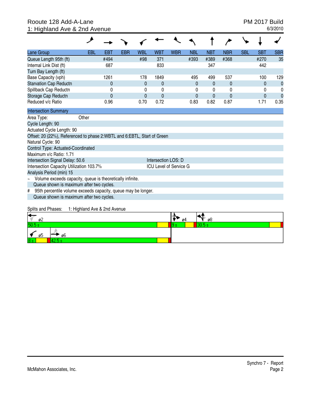#### Rooute 128 Add-A-Lane **PM 2017 Build**<br>1: Highland Ave & 2nd Avenue **PM 2017 Build** 1: Highland Ave & 2nd Avenue

| Lane Group                                                              | EBL                          | EBT          | EBR | WBL            | WBT                 | <b>WBR</b>                    | <b>NBL</b>     | <b>NBT</b>   | <b>NBR</b>   | <b>SBL</b> | <b>SBT</b> | <b>SBR</b>  |
|-------------------------------------------------------------------------|------------------------------|--------------|-----|----------------|---------------------|-------------------------------|----------------|--------------|--------------|------------|------------|-------------|
| Queue Length 95th (ft)                                                  |                              | #494         |     | #98            | 371                 |                               | #393           | #389         | #368         |            | #270       | 35          |
| Internal Link Dist (ft)                                                 |                              | 687          |     |                | 833                 |                               |                | 347          |              |            | 442        |             |
| Turn Bay Length (ft)                                                    |                              |              |     |                |                     |                               |                |              |              |            |            |             |
| Base Capacity (vph)                                                     |                              | 1261         |     | 178            | 1849                |                               | 495            | 499          | 537          |            | 100        | 129         |
| <b>Starvation Cap Reductn</b>                                           |                              | $\mathbf{0}$ |     | $\mathbf{0}$   | $\mathbf{0}$        |                               | $\Omega$       | $\mathbf{0}$ | $\mathbf{0}$ |            | $\Omega$   | $\mathbf 0$ |
| Spillback Cap Reductn                                                   |                              | 0            |     | 0              | 0                   |                               | 0              | 0            | $\mathbf 0$  |            | 0          | 0           |
| Storage Cap Reductn                                                     |                              | $\mathbf{0}$ |     | $\overline{0}$ | 0                   |                               | $\overline{0}$ | $\mathbf{0}$ | $\mathbf{0}$ |            | 0          | $\Omega$    |
| Reduced v/c Ratio                                                       |                              | 0.96         |     | 0.70           | 0.72                |                               | 0.83           | 0.82         | 0.87         |            | 1.71       | 0.35        |
| <b>Intersection Summary</b>                                             |                              |              |     |                |                     |                               |                |              |              |            |            |             |
| Area Type:                                                              | Other                        |              |     |                |                     |                               |                |              |              |            |            |             |
| Cycle Length: 90                                                        |                              |              |     |                |                     |                               |                |              |              |            |            |             |
| Actuated Cycle Length: 90                                               |                              |              |     |                |                     |                               |                |              |              |            |            |             |
| Offset: 20 (22%), Referenced to phase 2:WBTL and 6:EBTL, Start of Green |                              |              |     |                |                     |                               |                |              |              |            |            |             |
| Natural Cycle: 90                                                       |                              |              |     |                |                     |                               |                |              |              |            |            |             |
| Control Type: Actuated-Coordinated                                      |                              |              |     |                |                     |                               |                |              |              |            |            |             |
| Maximum v/c Ratio: 1.71                                                 |                              |              |     |                |                     |                               |                |              |              |            |            |             |
| Intersection Signal Delay: 50.6                                         |                              |              |     |                | Intersection LOS: D |                               |                |              |              |            |            |             |
| Intersection Capacity Utilization 103.7%                                |                              |              |     |                |                     | <b>ICU Level of Service G</b> |                |              |              |            |            |             |
| Analysis Period (min) 15                                                |                              |              |     |                |                     |                               |                |              |              |            |            |             |
| Volume exceeds capacity, queue is theoretically infinite.               |                              |              |     |                |                     |                               |                |              |              |            |            |             |
| Queue shown is maximum after two cycles.                                |                              |              |     |                |                     |                               |                |              |              |            |            |             |
| 95th percentile volume exceeds capacity, queue may be longer.<br>#      |                              |              |     |                |                     |                               |                |              |              |            |            |             |
| Queue shown is maximum after two cycles.                                |                              |              |     |                |                     |                               |                |              |              |            |            |             |
| Splits and Phases:                                                      | 1: Highland Ave & 2nd Avenue |              |     |                |                     |                               |                |              |              |            |            |             |
|                                                                         |                              |              |     |                |                     |                               |                |              |              |            |            |             |
| ø2                                                                      |                              |              |     |                |                     | ø4                            |                | ø8           |              |            |            |             |
| 50.5 s                                                                  |                              |              |     |                |                     | l9 s                          |                | 30.5 s       |              |            |            |             |

 $\frac{\left|\textbf{x}\right|}{\frac{8}{25}}$   $\frac{4}{105}$   $\frac{8}{105}$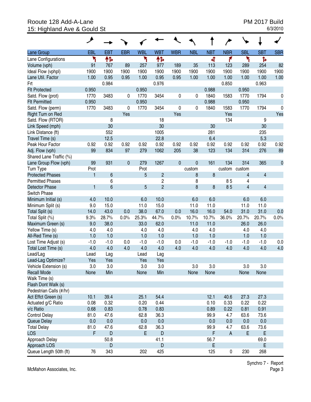## Rooute 128 Add-A-Lane PM 2017 Build<br>15: Highland Ave & Gould St 6/3/2010 15: Highland Ave & Gould St

|                         | ◢            |                |              |            |                         |             |             |            |                           |                         |                         |             |
|-------------------------|--------------|----------------|--------------|------------|-------------------------|-------------|-------------|------------|---------------------------|-------------------------|-------------------------|-------------|
| Lane Group              | EBL          | <b>EBT</b>     | <b>EBR</b>   | <b>WBL</b> | <b>WBT</b>              | <b>WBR</b>  | <b>NBL</b>  | <b>NBT</b> | <b>NBR</b>                | <b>SBL</b>              | <b>SBT</b>              | <b>SBR</b>  |
| Lane Configurations     | ۲            | 怍              |              | ۲          | ተኈ                      |             |             | 4          | ۴                         | ۲                       | Ъ                       |             |
| Volume (vph)            | 91           | 767            | 89           | 257        | 977                     | 189         | 35          | 113        | 123                       | 289                     | 254                     | 82          |
| Ideal Flow (vphpl)      | 1900         | 1900           | 1900         | 1900       | 1900                    | 1900        | 1900        | 1900       | 1900                      | 1900                    | 1900                    | 1900        |
| Lane Util. Factor       | 1.00         | 0.95           | 0.95         | 1.00       | 0.95                    | 0.95        | 1.00        | 1.00       | 1.00                      | 1.00                    | 1.00                    | 1.00        |
| Frt                     |              | 0.984          |              |            | 0.976                   |             |             |            | 0.850                     |                         | 0.963                   |             |
| <b>Flt Protected</b>    | 0.950        |                |              | 0.950      |                         |             |             | 0.988      |                           | 0.950                   |                         |             |
| Satd. Flow (prot)       | 1770         | 3483           | 0            | 1770       | 3454                    | 0           | 0           | 1840       | 1583                      | 1770                    | 1794                    | 0           |
| <b>Flt Permitted</b>    | 0.950        |                |              | 0.950      |                         |             |             | 0.988      |                           | 0.950                   |                         |             |
| Satd. Flow (perm)       | 1770         | 3483           | 0            | 1770       | 3454                    | 0           | 0           | 1840       | 1583                      | 1770                    | 1794                    | 0           |
| Right Turn on Red       |              |                | Yes          |            |                         | Yes         |             |            | Yes                       |                         |                         | Yes         |
| Satd. Flow (RTOR)       |              | 8              |              |            | 18                      |             |             |            | 134                       |                         | 9                       |             |
| Link Speed (mph)        |              | 30             |              |            | 30                      |             |             | 30         |                           |                         | 30                      |             |
| Link Distance (ft)      |              | 552            |              |            | 1005                    |             |             | 281        |                           |                         | 235                     |             |
| Travel Time (s)         |              | 12.5           |              |            | 22.8                    |             |             | 6.4        |                           |                         | 5.3                     |             |
| Peak Hour Factor        | 0.92         | 0.92           | 0.92         | 0.92       | 0.92                    | 0.92        | 0.92        | 0.92       | 0.92                      | 0.92                    | 0.92                    | 0.92        |
| Adj. Flow (vph)         | 99           | 834            | 97           | 279        | 1062                    | 205         | 38          | 123        | 134                       | 314                     | 276                     | 89          |
| Shared Lane Traffic (%) |              |                |              |            |                         |             |             |            |                           |                         |                         |             |
| Lane Group Flow (vph)   | 99           | 931            | $\mathbf{0}$ | 279        | 1267                    | $\mathbf 0$ | $\mathbf 0$ | 161        | 134                       | 314                     | 365                     | $\mathbf 0$ |
| Turn Type               | Prot         |                |              | Prot       |                         |             | custom      |            | custom                    | custom                  |                         |             |
| <b>Protected Phases</b> | $\mathbf{1}$ | $6\phantom{a}$ |              | 5          | $\overline{2}$          |             | 8           | 8          |                           | $\overline{4}$          | $\overline{\mathbf{4}}$ |             |
| <b>Permitted Phases</b> |              | 6              |              |            | $\overline{\mathbf{c}}$ |             | 8           |            | 85                        | 4                       |                         |             |
| <b>Detector Phase</b>   | $\mathbf{1}$ | $6\phantom{a}$ |              | 5          | $\overline{2}$          |             | 8           | 8          | 85                        | $\overline{\mathbf{4}}$ | $\overline{4}$          |             |
| Switch Phase            |              |                |              |            |                         |             |             |            |                           |                         |                         |             |
| Minimum Initial (s)     | 4.0          | 10.0           |              | 6.0        | 10.0                    |             | 6.0         | 6.0        |                           | 6.0                     | 6.0                     |             |
| Minimum Split (s)       | 9.0          | 15.0           |              | 11.0       | 15.0                    |             | 11.0        | 11.0       |                           | 11.0                    | 11.0                    |             |
| Total Split (s)         | 14.0         | 43.0           | 0.0          | 38.0       | 67.0                    | 0.0         | 16.0        | 16.0       | 54.0                      | 31.0                    | 31.0                    | 0.0         |
| Total Split (%)         | 9.3%         | 28.7%          | 0.0%         | 25.3%      | 44.7%                   | 0.0%        | 10.7%       | 10.7%      | 36.0%                     | 20.7%                   | 20.7%                   | 0.0%        |
| Maximum Green (s)       | 9.0          | 38.0           |              | 33.0       | 62.0                    |             | 11.0        | 11.0       |                           | 26.0                    | 26.0                    |             |
| Yellow Time (s)         | 4.0          | 4.0            |              | 4.0        | 4.0                     |             | 4.0         | 4.0        |                           | 4.0                     | 4.0                     |             |
| All-Red Time (s)        | 1.0          | 1.0            |              | 1.0        | 1.0                     |             | 1.0         | 1.0        |                           | 1.0                     | 1.0                     |             |
| Lost Time Adjust (s)    | $-1.0$       | $-1.0$         | 0.0          | $-1.0$     | $-1.0$                  | 0.0         | $-1.0$      | $-1.0$     | $-1.0$                    | $-1.0$                  | $-1.0$                  | 0.0         |
| Total Lost Time (s)     | 4.0          | 4.0            | 4.0          | 4.0        | 4.0                     | 4.0         | 4.0         | 4.0        | 4.0                       | 4.0                     | 4.0                     | 4.0         |
| Lead/Lag                | Lead         | Lag            |              | Lead       | Lag                     |             |             |            |                           |                         |                         |             |
| Lead-Lag Optimize?      | Yes          | Yes            |              | Yes        | Yes                     |             |             |            |                           |                         |                         |             |
| Vehicle Extension (s)   | 3.0          | 3.0            |              | 3.0        | 3.0                     |             | 3.0         | 3.0        |                           | 3.0                     | 3.0                     |             |
| <b>Recall Mode</b>      | None         | Min            |              | None       | Min                     |             | None        | None       |                           | None                    | None                    |             |
| Walk Time (s)           |              |                |              |            |                         |             |             |            |                           |                         |                         |             |
| Flash Dont Walk (s)     |              |                |              |            |                         |             |             |            |                           |                         |                         |             |
| Pedestrian Calls (#/hr) |              |                |              |            |                         |             |             |            |                           |                         |                         |             |
| Act Effct Green (s)     | 10.1         | 39.4           |              | 25.1       | 54.4                    |             |             | 12.1       | 40.6                      | 27.3                    | 27.3                    |             |
| Actuated g/C Ratio      | 0.08         | 0.32           |              | 0.20       | 0.44                    |             |             | 0.10       | 0.33                      | 0.22                    | 0.22                    |             |
| v/c Ratio               | 0.68         | 0.83           |              | 0.78       | 0.83                    |             |             | 0.89       | 0.22                      | 0.81                    | 0.91                    |             |
| <b>Control Delay</b>    | 81.0         | 47.6           |              | 62.8       | 36.3                    |             |             | 99.9       | 4.7                       | 63.6                    | 73.6                    |             |
| Queue Delay             | 0.0          | 0.0            |              | 0.0        | 0.0                     |             |             | 0.0        | 0.0                       | 0.0                     | 0.0                     |             |
| <b>Total Delay</b>      | 81.0         | 47.6           |              | 62.8       | 36.3                    |             |             | 99.9       | 4.7                       | 63.6                    | 73.6                    |             |
| <b>LOS</b>              | F            | D              |              | E          | D                       |             |             | F          | $\boldsymbol{\mathsf{A}}$ | E                       | E                       |             |
| Approach Delay          |              | 50.8           |              |            | 41.1                    |             |             | 56.7       |                           |                         | 69.0                    |             |
| Approach LOS            |              | D              |              |            | D                       |             |             | E          |                           |                         | E                       |             |
| Queue Length 50th (ft)  | 76           | 343            |              | 202        | 425                     |             |             | 125        | 0                         | 230                     | 268                     |             |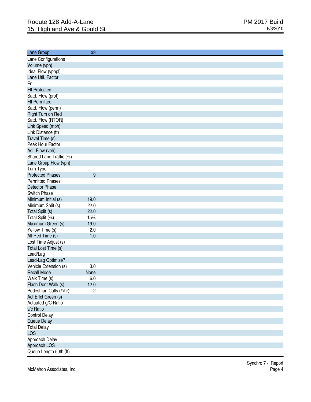| Lane Group              | ø9                      |
|-------------------------|-------------------------|
| Lane Configurations     |                         |
| Volume (vph)            |                         |
| Ideal Flow (vphpl)      |                         |
| Lane Util. Factor       |                         |
| Frt                     |                         |
| <b>Flt Protected</b>    |                         |
| Satd. Flow (prot)       |                         |
| <b>Flt Permitted</b>    |                         |
| Satd. Flow (perm)       |                         |
| Right Turn on Red       |                         |
| Satd. Flow (RTOR)       |                         |
| Link Speed (mph)        |                         |
| Link Distance (ft)      |                         |
| Travel Time (s)         |                         |
| Peak Hour Factor        |                         |
| Adj. Flow (vph)         |                         |
| Shared Lane Traffic (%) |                         |
|                         |                         |
| Lane Group Flow (vph)   |                         |
| Turn Type               |                         |
| <b>Protected Phases</b> | 9                       |
| <b>Permitted Phases</b> |                         |
| <b>Detector Phase</b>   |                         |
| Switch Phase            |                         |
| Minimum Initial (s)     | 19.0                    |
| Minimum Split (s)       | 22.0                    |
| Total Split (s)         | 22.0                    |
| Total Split (%)         | 15%                     |
| Maximum Green (s)       | 19.0                    |
| Yellow Time (s)         | 2.0                     |
| All-Red Time (s)        | 1.0                     |
| Lost Time Adjust (s)    |                         |
| Total Lost Time (s)     |                         |
| Lead/Lag                |                         |
| Lead-Lag Optimize?      |                         |
| Vehicle Extension (s)   | 3.0                     |
| <b>Recall Mode</b>      | None                    |
| Walk Time (s)           | $6.0\,$                 |
| Flash Dont Walk (s)     | 12.0                    |
| Pedestrian Calls (#/hr) | $\overline{\mathbf{c}}$ |
| Act Effct Green (s)     |                         |
| Actuated g/C Ratio      |                         |
| v/c Ratio               |                         |
| <b>Control Delay</b>    |                         |
| Queue Delay             |                         |
| <b>Total Delay</b>      |                         |
| <b>LOS</b>              |                         |
| Approach Delay          |                         |
| Approach LOS            |                         |
| Queue Length 50th (ft)  |                         |
|                         |                         |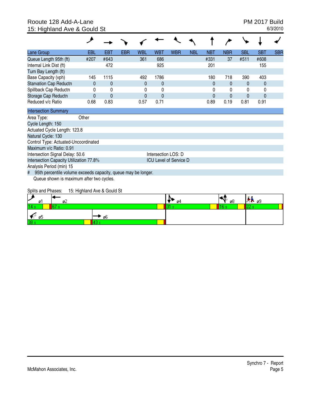## Rooute 128 Add-A-Lane PM 2017 Build<br>15: Highland Ave & Gould St 6/3/2010 15: Highland Ave & Gould St

| Lane Group                                                         | <b>EBL</b> | <b>EBT</b>   | <b>EBR</b> | <b>WBL</b> | <b>WBT</b>          | <b>WBR</b>                    | <b>NBL</b> | <b>NBT</b>     | <b>NBR</b>   | <b>SBL</b>   | <b>SBT</b> | <b>SBR</b> |
|--------------------------------------------------------------------|------------|--------------|------------|------------|---------------------|-------------------------------|------------|----------------|--------------|--------------|------------|------------|
| Queue Length 95th (ft)                                             | #207       | #643         |            | 361        | 686                 |                               |            | #331           | 37           | #511         | #608       |            |
| Internal Link Dist (ft)                                            |            | 472          |            |            | 925                 |                               |            | 201            |              |              | 155        |            |
| Turn Bay Length (ft)                                               |            |              |            |            |                     |                               |            |                |              |              |            |            |
| Base Capacity (vph)                                                | 145        | 1115         |            | 492        | 1786                |                               |            | 180            | 718          | 390          | 403        |            |
| <b>Starvation Cap Reductn</b>                                      | $\Omega$   | 0            |            | $\Omega$   | $\mathbf{0}$        |                               |            | $\mathbf 0$    | $\mathbf{0}$ | 0            | 0          |            |
| Spillback Cap Reductn                                              | 0          | 0            |            | 0          | $\Omega$            |                               |            | 0              | $\Omega$     | 0            | 0          |            |
| Storage Cap Reductn                                                |            | $\mathbf{0}$ |            | $\Omega$   | $\mathbf{0}$        |                               |            | $\overline{0}$ | $\Omega$     | $\mathbf{0}$ | $\Omega$   |            |
| Reduced v/c Ratio                                                  | 0.68       | 0.83         |            | 0.57       | 0.71                |                               |            | 0.89           | 0.19         | 0.81         | 0.91       |            |
| <b>Intersection Summary</b>                                        |            |              |            |            |                     |                               |            |                |              |              |            |            |
| Area Type:                                                         | Other      |              |            |            |                     |                               |            |                |              |              |            |            |
| Cycle Length: 150                                                  |            |              |            |            |                     |                               |            |                |              |              |            |            |
| Actuated Cycle Length: 123.8                                       |            |              |            |            |                     |                               |            |                |              |              |            |            |
| Natural Cycle: 130                                                 |            |              |            |            |                     |                               |            |                |              |              |            |            |
| Control Type: Actuated-Uncoordinated                               |            |              |            |            |                     |                               |            |                |              |              |            |            |
| Maximum v/c Ratio: 0.91                                            |            |              |            |            |                     |                               |            |                |              |              |            |            |
| Intersection Signal Delay: 50.6                                    |            |              |            |            | Intersection LOS: D |                               |            |                |              |              |            |            |
| Intersection Capacity Utilization 77.8%                            |            |              |            |            |                     | <b>ICU Level of Service D</b> |            |                |              |              |            |            |
| Analysis Period (min) 15                                           |            |              |            |            |                     |                               |            |                |              |              |            |            |
| 95th percentile volume exceeds capacity, queue may be longer.<br># |            |              |            |            |                     |                               |            |                |              |              |            |            |
| Queue shown is maximum after two cycles.                           |            |              |            |            |                     |                               |            |                |              |              |            |            |

Splits and Phases: 15: Highland Ave & Gould St

| ×<br>ø    | ø۷ |      | σ4 | ø8 | $\pi$ $\approx$ $\approx$ |
|-----------|----|------|----|----|---------------------------|
|           |    |      |    |    |                           |
| ø5        |    | ' ø6 |    |    |                           |
| --<br>. . |    |      |    |    |                           |